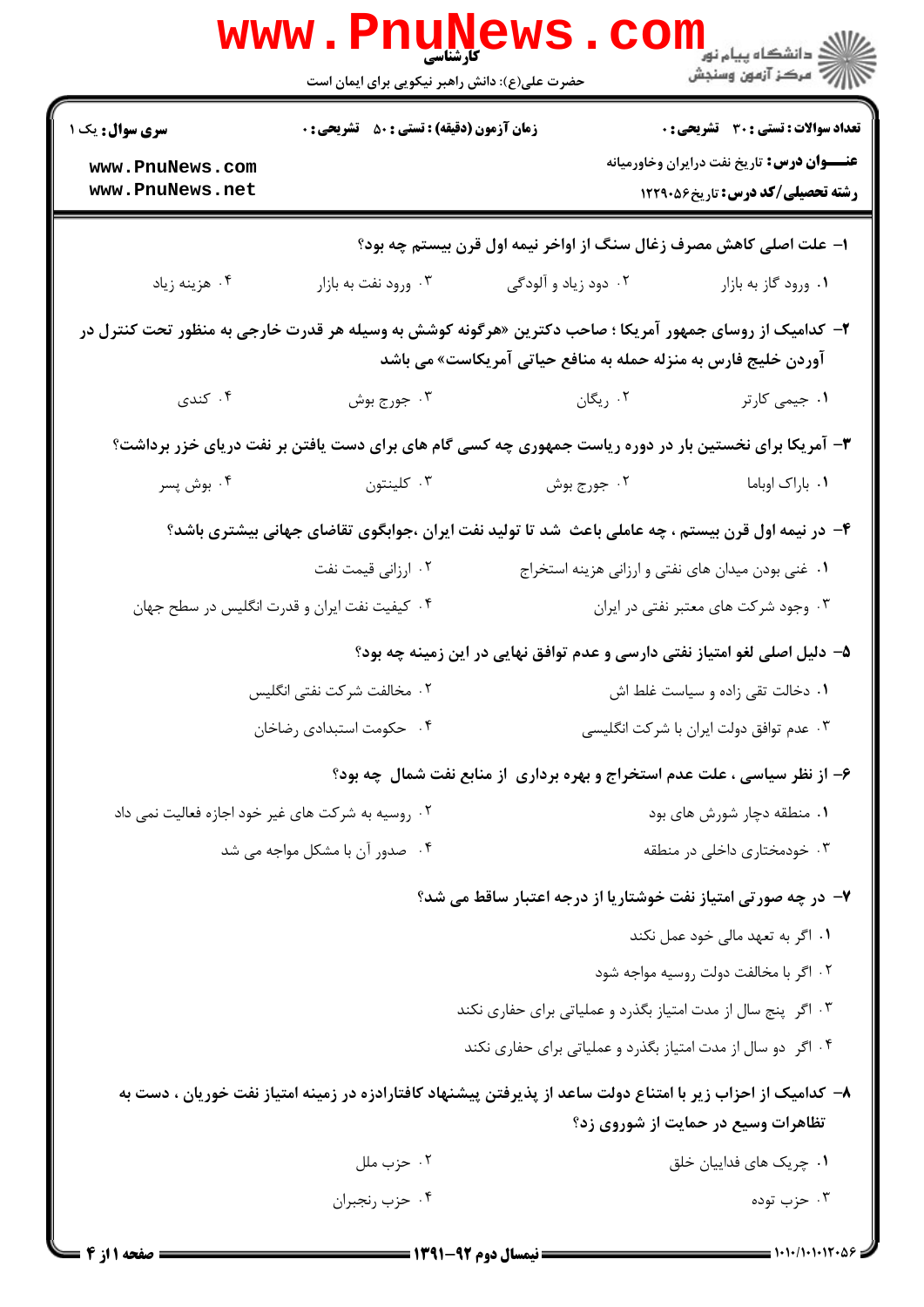|                                                                                                       | <b>www.PnuNe</b><br>کارشناسی<br>حضرت علی(ع): دانش راهبر نیکویی برای ایمان است |                                                                                                                                                                           | ر دانشڪاه پيام نور <mark>−</mark><br>ا∛ مرکز آزمون وسنڊش                                    |  |
|-------------------------------------------------------------------------------------------------------|-------------------------------------------------------------------------------|---------------------------------------------------------------------------------------------------------------------------------------------------------------------------|---------------------------------------------------------------------------------------------|--|
| <b>سری سوال :</b> یک ۱                                                                                | <b>زمان آزمون (دقیقه) : تستی : 50 ٪ تشریحی : 0</b>                            |                                                                                                                                                                           | <b>تعداد سوالات : تستی : 30 ٪ تشریحی : 0</b>                                                |  |
| www.PnuNews.com<br>www.PnuNews.net                                                                    |                                                                               |                                                                                                                                                                           | <b>عنــــوان درس:</b> تاریخ نفت درایران وخاورمیانه<br><b>رشته تحصیلی/کد درس:</b> تاریخ45216 |  |
| ۱– علت اصلی کاهش مصرف زغال سنگ از اواخر نیمه اول قرن بیستم چه بود؟                                    |                                                                               |                                                                                                                                                                           |                                                                                             |  |
| ۰۴ هزینه زیاد                                                                                         | ۰۳ ورود نفت به بازار                                                          | ۰۲ دود زیاد و آلودگی                                                                                                                                                      | ۰۱ ورود گاز به بازار                                                                        |  |
|                                                                                                       |                                                                               | ۲- کدامیک از روسای جمهور آمریکا ؛ صاحب دکترین «هرگونه کوشش به وسیله هر قدرت خارجی به منظور تحت کنترل در<br>آوردن خلیج فارس به منزله حمله به منافع حیاتی آمریکاست» می باشد |                                                                                             |  |
| ۰۴ کندی                                                                                               | ۰۳ جورج بوش                                                                   | ۰۲ ریگان                                                                                                                                                                  | ۰۱ جیمی کارتر                                                                               |  |
| ۳- آمریکا برای نخستین بار در دوره ریاست جمهوری چه کسی گام های برای دست یافتن بر نفت دریای خزر برداشت؟ |                                                                               |                                                                                                                                                                           |                                                                                             |  |
| ۰۴ بوش پسر                                                                                            | ۰۳ کلینتون                                                                    | ۰۲ جورج بوش                                                                                                                                                               | ۰۱ باراک اوباما                                                                             |  |
| ۴– در نیمه اول قرن بیستم ، چه عاملی باعث ًشد تا تولید نفت ایران ،جوابگوی تقاضای جهانی بیشتری باشد؟    |                                                                               |                                                                                                                                                                           |                                                                                             |  |
|                                                                                                       | ۰۲ ارزانی قیمت نفت                                                            | ۰۱ غنی بودن میدان های نفتی و ارزانی هزینه استخراج                                                                                                                         |                                                                                             |  |
| ۰۳ وجود شرکت های معتبر نفتی در ایران<br>۰۴ کیفیت نفت ایران و قدرت انگلیس در سطح جهان                  |                                                                               |                                                                                                                                                                           |                                                                                             |  |
| ۵– دلیل اصلی لغو امتیاز نفتی دارسی و عدم توافق نهایی در این زمینه چه بود؟                             |                                                                               |                                                                                                                                                                           |                                                                                             |  |
| ۰۲ مخالفت شرکت نفتی انگلیس<br>۰۱ دخالت تقی زاده و سیاست غلط اش                                        |                                                                               |                                                                                                                                                                           |                                                                                             |  |
| ۰۴ حکومت استبدادی رضاخان                                                                              |                                                                               | ۰۳ عدم توافق دولت ایران با شرکت انگلیسی                                                                                                                                   |                                                                                             |  |
|                                                                                                       |                                                                               | ۶- از نظر سیاسی ، علت عدم استخراج و بهره برداری از منابع نفت شمال چه بود؟                                                                                                 |                                                                                             |  |
| ۰۲ روسیه به شرکت های غیر خود اجازه فعالیت نمی داد                                                     |                                                                               | ۰۱ منطقه دچار شورش های بود                                                                                                                                                |                                                                                             |  |
|                                                                                                       | ۰۴ صدور آن با مشکل مواجه می شد                                                | ۰۳ خودمختاری داخلی در منطقه                                                                                                                                               |                                                                                             |  |
|                                                                                                       |                                                                               | ۷- در چه صورتی امتیاز نفت خوشتاریا از درجه اعتبار ساقط می شد؟                                                                                                             |                                                                                             |  |
|                                                                                                       |                                                                               |                                                                                                                                                                           | ۰۱ اگر به تعهد مالی خود عمل نکند                                                            |  |
|                                                                                                       |                                                                               |                                                                                                                                                                           | ۰۲ اگر با مخالفت دولت روسیه مواجه شود                                                       |  |
|                                                                                                       | ۰۳ اگر پنج سال از مدت امتیاز بگذرد و عملیاتی برای حفاری نکند                  |                                                                                                                                                                           |                                                                                             |  |
|                                                                                                       |                                                                               | ۰۴ اگر دو سال از مدت امتیاز بگذرد و عملیاتی برای حفاری نکند                                                                                                               |                                                                                             |  |
|                                                                                                       |                                                                               | ۸– کدامیک از احزاب زیر با امتناع دولت ساعد از پذیرفتن پیشنهاد کافتارادزه در زمینه امتیاز نفت خوریان ، دست به                                                              | تظاهرات وسیع در حمایت از شوروی زد؟                                                          |  |
|                                                                                                       | ۰۲ حزب ملل                                                                    |                                                                                                                                                                           | ۰۱ چریک های فداییان خلق                                                                     |  |
|                                                                                                       | ۰۴ حزب رنجبران                                                                |                                                                                                                                                                           | ۰۳ حزب توده                                                                                 |  |
|                                                                                                       |                                                                               | $\frac{1}{2}$ (was available to $\frac{1}{2}$                                                                                                                             | = 1.1./1.1.12.8                                                                             |  |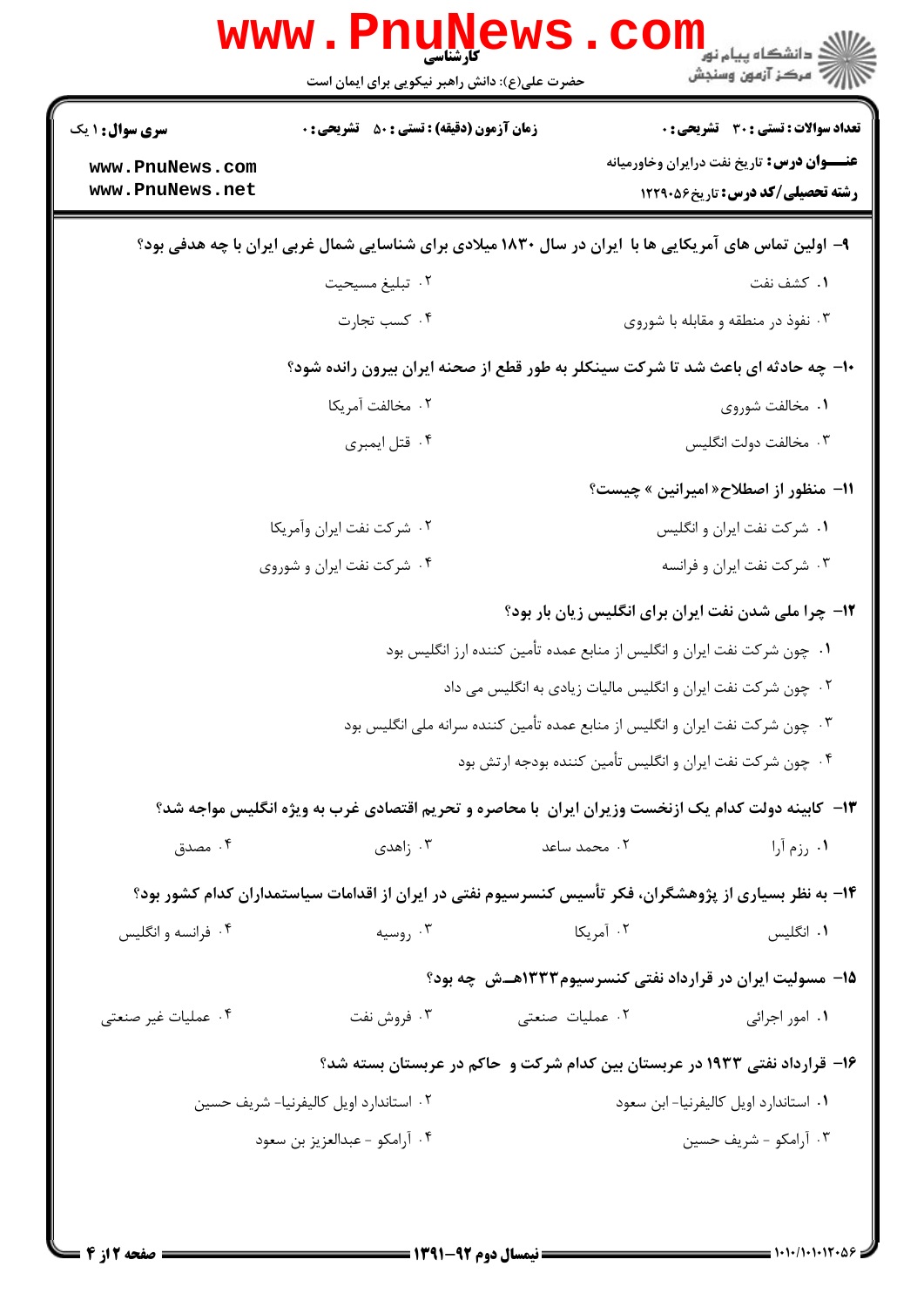| <b>سری سوال : ۱ یک</b>                                                                                 | <b>زمان آزمون (دقیقه) : تستی : 50 ٪ تشریحی : 0</b>                                                     |                                                              | تعداد سوالات : تستى : 30 قشريحى : 0                              |  |
|--------------------------------------------------------------------------------------------------------|--------------------------------------------------------------------------------------------------------|--------------------------------------------------------------|------------------------------------------------------------------|--|
| www.PnuNews.com                                                                                        |                                                                                                        |                                                              | <b>عنــــوان درس :</b> تاريخ نفت درايران وخاورميانه              |  |
| www.PnuNews.net                                                                                        |                                                                                                        |                                                              | <b>رشته تحصیلی/کد درس:</b> تاریخ66.1229                          |  |
| ۹- اولین تماس های آمریکایی ها با ایران در سال ۱۸۳۰ میلادی برای شناسایی شمال غربی ایران با چه هدفی بود؟ |                                                                                                        |                                                              |                                                                  |  |
|                                                                                                        | ۰۲ تبلیغ مسیحیت                                                                                        |                                                              | ۰۱ کشف نفت                                                       |  |
|                                                                                                        | ۰۴ کسب تجارت                                                                                           |                                                              | ۰۳ نفوذ در منطقه و مقابله با شوروی                               |  |
|                                                                                                        | ∙۱- چه حادثه ای باعث شد تا شرکت سینکلر به طور قطع از صحنه ایران بیرون رانده شود؟                       |                                                              |                                                                  |  |
|                                                                                                        | ٠٢ مخالفت آمريكا                                                                                       |                                                              | ۰۱ مخالفت شوروی                                                  |  |
|                                                                                                        | ۰۴ قتل ايمبري                                                                                          |                                                              | ۰۳ مخالفت دولت انگلیس                                            |  |
|                                                                                                        |                                                                                                        |                                                              | 11- منظور از اصطلاح« امیرانین » چیست؟                            |  |
|                                                                                                        | ۰۲ شرکت نفت ایران وآمریکا                                                                              |                                                              | ۰۱ شرکت نفت ایران و انگلیس                                       |  |
|                                                                                                        | ۰۴ شرکت نفت ایران و شوروی                                                                              |                                                              | ۰۳ شرکت نفت ایران و فرانسه                                       |  |
|                                                                                                        |                                                                                                        |                                                              | <b>۱۲</b> - چرا ملی شدن نفت ایران برای انگلیس زیان بار بود؟      |  |
|                                                                                                        | ۰۱ چون شرکت نفت ایران و انگلیس از منابع عمده تأمین کننده ارز انگلیس بود                                |                                                              |                                                                  |  |
|                                                                                                        |                                                                                                        | ۰۲ چون شرکت نفت ایران و انگلیس مالیات زیادی به انگلیس می داد |                                                                  |  |
|                                                                                                        | ۰۳ چون شرکت نفت ایران و انگلیس از منابع عمده تأمین کننده سرانه ملی انگلیس بود                          |                                                              |                                                                  |  |
|                                                                                                        |                                                                                                        | ۰۴ چون شرکت نفت ایران و انگلیس تأمین کننده بودجه ارتش بود    |                                                                  |  |
|                                                                                                        | ۱۳– کابینه دولت کدام یک ازنخست وزیران ایران با محاصره و تحریم اقتصادی غرب به ویژه انگلیس مواجه شد؟     |                                                              |                                                                  |  |
| ۰۴ مصدق                                                                                                | ا زاهدی $\cdot$ ۳                                                                                      | ۰۲ محمد ساعد                                                 | ۰۱. رزم آرا                                                      |  |
|                                                                                                        | ۱۴- به نظر بسیاری از پژوهشگران، فکر تأسیس کنسرسیوم نفتی در ایران از اقدامات سیاستمداران کدام کشور بود؟ |                                                              |                                                                  |  |
| ۰۴ فرانسه و انگلیس                                                                                     | ۰۳ روسیه                                                                                               | ۰۲ آمریکا                                                    | ۰۱ انگلیس                                                        |  |
|                                                                                                        |                                                                                                        |                                                              | <b>۱۵- مسولیت ایران در قرارداد نفتی کنسرسیوم۱۳۳۳هــش چه بود؟</b> |  |
| ۰۴ عملیات غیر صنعتی                                                                                    | ۰۳ فروش نفت                                                                                            | ۰۲ عملیات صنعتی                                              | ۰۱ امور اجرائی                                                   |  |
|                                                                                                        | ۱۶- قرارداد نفتی ۱۹۳۳ در عربستان بین کدام شرکت و حاکم در عربستان بسته شد؟                              |                                                              |                                                                  |  |
|                                                                                                        | ۰۲ استاندارد اویل کالیفرنیا- شریف حسین                                                                 |                                                              | ۰۱ استاندارد اویل کالیفرنیا- ابن سعود                            |  |
|                                                                                                        | ۰۴ آرامكو - عبدالعزيز بن سعود                                                                          |                                                              | ۰۳ آرامکو - شریف حسین                                            |  |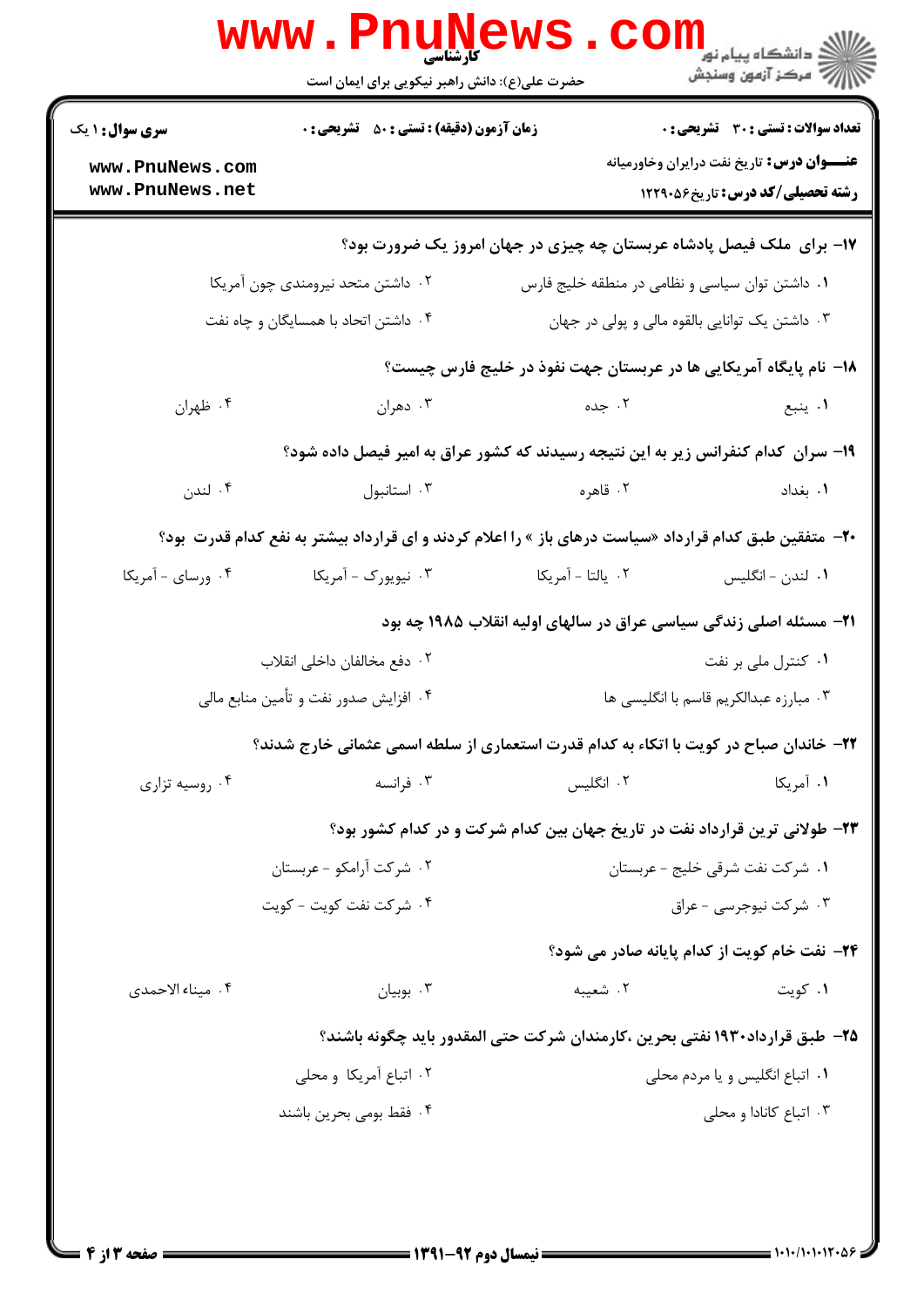|                                                                                   | www.PnuNews                                                                            |                                                                                                               | الاد دانشگاه پيام نور<br>الاستخاب پيام نور<br>  الاستخاب آزمون وسنجش                          |  |  |
|-----------------------------------------------------------------------------------|----------------------------------------------------------------------------------------|---------------------------------------------------------------------------------------------------------------|-----------------------------------------------------------------------------------------------|--|--|
|                                                                                   | حضرت علی(ع): دانش راهبر نیکویی برای ایمان است                                          |                                                                                                               |                                                                                               |  |  |
| <b>سری سوال : ۱ یک</b>                                                            | <b>زمان آزمون (دقیقه) : تستی : 50 ٪ تشریحی : 0</b>                                     |                                                                                                               | <b>تعداد سوالات : تستي : 30 ٪ تشريحي : 0</b>                                                  |  |  |
| www.PnuNews.com<br>www.PnuNews.net                                                |                                                                                        |                                                                                                               | <b>عنــــوان درس :</b> تاریخ نفت درایران وخاورمیانه<br><b>رشته تحصیلی/کد درس:</b> تاریخ260612 |  |  |
|                                                                                   |                                                                                        | ۱۷- برای ملک فیصل پادشاه عربستان چه چیزی در جهان امروز یک ضرورت بود؟                                          |                                                                                               |  |  |
|                                                                                   | ۰۲ داشتن متحد نیرومندی چون آمریکا                                                      | ۰۱ داشتن توان سیاسی و نظامی در منطقه خلیج فارس                                                                |                                                                                               |  |  |
|                                                                                   | ۰۴ داشتن اتحاد با همسایگان و چاه نفت<br>۰۳ داشتن یک توانایی بالقوه مالی و پولی در جهان |                                                                                                               |                                                                                               |  |  |
|                                                                                   |                                                                                        | ۱۸− نام پایگاه آمریکایی ها در عربستان جهت نفوذ در خلیج فارس چیست؟                                             |                                                                                               |  |  |
| ۰۴ ظهران                                                                          | ۰۳ دهران                                                                               | ۲. جده                                                                                                        | ۰۱ ينبع                                                                                       |  |  |
| ۱۹– سران کدام کنفرانس زیر به این نتیجه رسیدند که کشور عراق به امیر فیصل داده شود؟ |                                                                                        |                                                                                                               |                                                                                               |  |  |
| ۰۴ لندن                                                                           | ۰۳ استانبول                                                                            | ۲. قاهره                                                                                                      | ۰۱. بغداد                                                                                     |  |  |
|                                                                                   |                                                                                        | <b>-۲-</b> متفقین طبق کدام قرارداد «سیاست درهای باز » را اعلام کردند و ای قرارداد بیشتر به نفع کدام قدرت بود؟ |                                                                                               |  |  |
| ۰۴ ورسای - آمریکا                                                                 | ۰۳ نیویورک - آمریکا                                                                    | ٢.  يالتا - آمريكا                                                                                            | ٠١. لندن - انگليس                                                                             |  |  |
|                                                                                   |                                                                                        | ۲۱– مسئله اصلی زندگی سیاسی عراق در سالهای اولیه انقلاب ۱۹۸۵ چه بود                                            |                                                                                               |  |  |
|                                                                                   | ٢. دفع مخالفان داخلي انقلاب                                                            |                                                                                                               | ۰۱ کنترل ملی بر نفت                                                                           |  |  |
| ۰۴ افزایش صدور نفت و تأمین منابع مالی<br>۰۳ مبارزه عبدالکریم قاسم با انگلیسی ها   |                                                                                        |                                                                                                               |                                                                                               |  |  |
|                                                                                   |                                                                                        | ۲۲- خاندان صباح در کویت با اتکاء به کدام قدرت استعماری از سلطه اسمی عثمانی خارج شدند؟                         |                                                                                               |  |  |
| ۰۴ روسیه تزاری                                                                    | ۰۳ فرانسه                                                                              | ۰۲ انگلیس                                                                                                     | ۰۱ آمریکا                                                                                     |  |  |
|                                                                                   |                                                                                        | ۲۳- طولانی ترین قرارداد نفت در تاریخ جهان بین کدام شرکت و در کدام کشور بود؟                                   |                                                                                               |  |  |
|                                                                                   | ۰۲ شرکت آرامکو - عربستان                                                               | ۰۱ شرکت نفت شرقی خلیج - عربستان                                                                               |                                                                                               |  |  |
|                                                                                   | ۰۴ شركت نفت كويت - كويت                                                                |                                                                                                               | ۰۳ شرکت نیوجرسی - عراق                                                                        |  |  |
|                                                                                   |                                                                                        |                                                                                                               | ۲۴- نفت خام کویت از کدام پایانه صادر می شود؟                                                  |  |  |
| ۰۴ میناء الاحمدی                                                                  | بوبيان $\cdot^{\mathsf{v}}$                                                            | ۰۲ شعیبه                                                                                                      | ۰۱ کویت                                                                                       |  |  |
|                                                                                   |                                                                                        | ۲۵– طبق قرارداد۱۹۳۰ نفتی بحرین ،کارمندان شرکت حتی المقدور باید چگونه باشند؟                                   |                                                                                               |  |  |
|                                                                                   | ۰۲ اتباع آمریکا و محلی                                                                 | ۰۱ اتباع انگلیس و یا مردم محلی                                                                                |                                                                                               |  |  |
|                                                                                   | ۰۴ فقط بومی بحرین باشند                                                                |                                                                                                               | ۰۳ اتباع كانادا و محلي                                                                        |  |  |
|                                                                                   |                                                                                        |                                                                                                               |                                                                                               |  |  |
|                                                                                   |                                                                                        |                                                                                                               |                                                                                               |  |  |